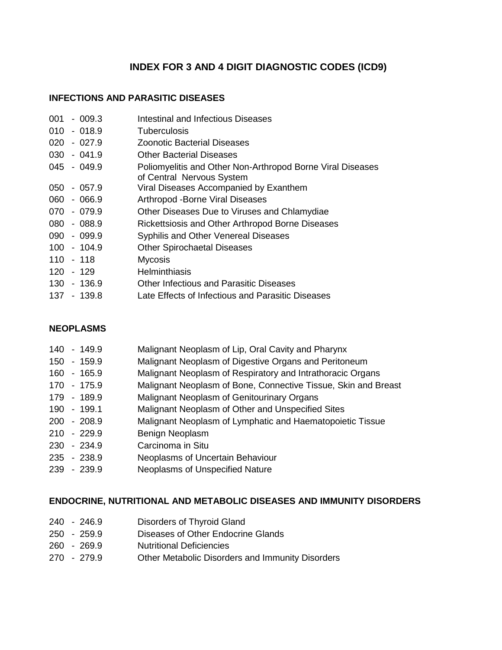# **INDEX FOR 3 AND 4 DIGIT DIAGNOSTIC CODES (ICD9)**

## **INFECTIONS AND PARASITIC DISEASES**

| 001       | - 009.3       | Intestinal and Infectious Diseases                                                      |
|-----------|---------------|-----------------------------------------------------------------------------------------|
|           | $010 - 018.9$ | <b>Tuberculosis</b>                                                                     |
| 020       | - 027.9       | Zoonotic Bacterial Diseases                                                             |
|           | $030 - 041.9$ | <b>Other Bacterial Diseases</b>                                                         |
|           | $045 - 049.9$ | Poliomyelitis and Other Non-Arthropod Borne Viral Diseases<br>of Central Nervous System |
| 050       | - 057.9       | Viral Diseases Accompanied by Exanthem                                                  |
|           | 060 - 066.9   | Arthropod - Borne Viral Diseases                                                        |
|           | 070 - 079.9   | Other Diseases Due to Viruses and Chlamydiae                                            |
|           | 080 - 088.9   | Rickettsiosis and Other Arthropod Borne Diseases                                        |
|           | 090 - 099.9   | Syphilis and Other Venereal Diseases                                                    |
|           | 100 - 104.9   | <b>Other Spirochaetal Diseases</b>                                                      |
| 110 - 118 |               | <b>Mycosis</b>                                                                          |
| 120 - 129 |               | <b>Helminthiasis</b>                                                                    |
|           | 130 - 136.9   | <b>Other Infectious and Parasitic Diseases</b>                                          |
|           | 137 - 139.8   | Late Effects of Infectious and Parasitic Diseases                                       |

## **NEOPLASMS**

| 140 | - 149.9       | Malignant Neoplasm of Lip, Oral Cavity and Pharynx             |
|-----|---------------|----------------------------------------------------------------|
|     | 150 - 159.9   | Malignant Neoplasm of Digestive Organs and Peritoneum          |
|     | 160 - 165.9   | Malignant Neoplasm of Respiratory and Intrathoracic Organs     |
|     | 170 - 175.9   | Malignant Neoplasm of Bone, Connective Tissue, Skin and Breast |
|     | 179 - 189.9   | Malignant Neoplasm of Genitourinary Organs                     |
|     | 190 - 199.1   | Malignant Neoplasm of Other and Unspecified Sites              |
|     | $200 - 208.9$ | Malignant Neoplasm of Lymphatic and Haematopoietic Tissue      |
|     | $210 - 229.9$ | Benign Neoplasm                                                |
|     | 230 - 234.9   | Carcinoma in Situ                                              |
|     | 235 - 238.9   | Neoplasms of Uncertain Behaviour                               |
|     | 239 - 239.9   | Neoplasms of Unspecified Nature                                |

## **ENDOCRINE, NUTRITIONAL AND METABOLIC DISEASES AND IMMUNITY DISORDERS**

|  | 240 - 246.9 | Disorders of Thyroid Gland |  |
|--|-------------|----------------------------|--|
|--|-------------|----------------------------|--|

- 250 259.9 Diseases of Other Endocrine Glands
- 260 269.9 Nutritional Deficiencies
- 270 279.9 Other Metabolic Disorders and Immunity Disorders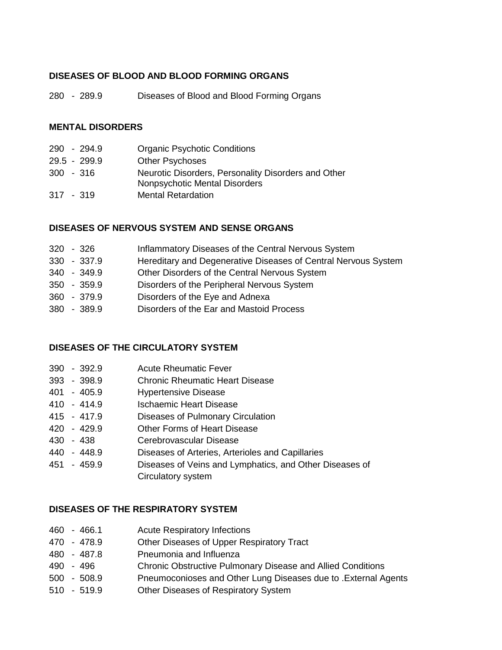## **DISEASES OF BLOOD AND BLOOD FORMING ORGANS**

280 - 289.9 Diseases of Blood and Blood Forming Organs

#### **MENTAL DISORDERS**

|             | 290 - 294.9  | <b>Organic Psychotic Conditions</b>                 |
|-------------|--------------|-----------------------------------------------------|
|             | 29.5 - 299.9 | <b>Other Psychoses</b>                              |
| $300 - 316$ |              | Neurotic Disorders, Personality Disorders and Other |
|             |              | Nonpsychotic Mental Disorders                       |
| $317 - 319$ |              | <b>Mental Retardation</b>                           |

#### **DISEASES OF NERVOUS SYSTEM AND SENSE ORGANS**

| $320 - 326$   | Inflammatory Diseases of the Central Nervous System            |
|---------------|----------------------------------------------------------------|
| 330 - 337.9   | Hereditary and Degenerative Diseases of Central Nervous System |
| 340 - 349.9   | Other Disorders of the Central Nervous System                  |
| 350 - 359.9   | Disorders of the Peripheral Nervous System                     |
| 360 - 379.9   | Disorders of the Eye and Adnexa                                |
| $380 - 389.9$ | Disorders of the Ear and Mastoid Process                       |
|               |                                                                |

#### **DISEASES OF THE CIRCULATORY SYSTEM**

|  |  | 390 - 392.9 | <b>Acute Rheumatic Fever</b> |
|--|--|-------------|------------------------------|
|--|--|-------------|------------------------------|

- 393 398.9 Chronic Rheumatic Heart Disease
- 401 405.9 Hypertensive Disease
- 410 414.9 Ischaemic Heart Disease
- 415 417.9 Diseases of Pulmonary Circulation
- 420 429.9 Other Forms of Heart Disease
- 430 438 Cerebrovascular Disease
- 440 448.9 Diseases of Arteries, Arterioles and Capillaries
- 451 459.9 Diseases of Veins and Lymphatics, and Other Diseases of Circulatory system

#### **DISEASES OF THE RESPIRATORY SYSTEM**

- 460 466.1 Acute Respiratory Infections
- 470 478.9 Other Diseases of Upper Respiratory Tract
- 480 487.8 Pneumonia and Influenza
- 490 496 Chronic Obstructive Pulmonary Disease and Allied Conditions
- 500 508.9 Pneumoconioses and Other Lung Diseases due to .External Agents
- 510 519.9 Other Diseases of Respiratory System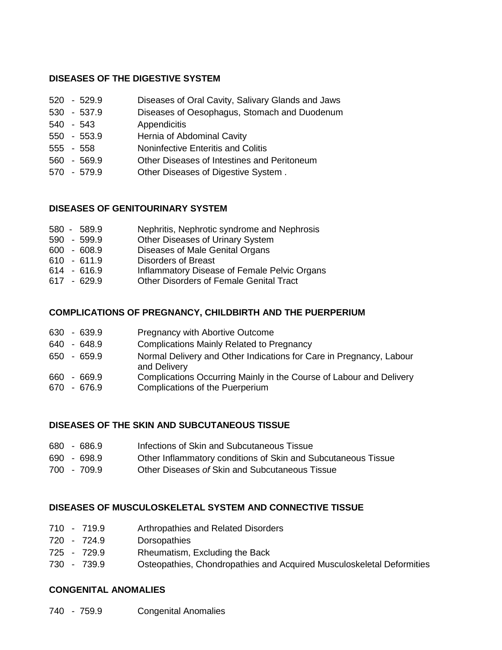## **DISEASES OF THE DIGESTIVE SYSTEM**

- 520 529.9 Diseases of Oral Cavity, Salivary Glands and Jaws
- 530 537.9 Diseases of Oesophagus, Stomach and Duodenum
- 540 543 Appendicitis
- 550 553.9 Hernia of Abdominal Cavity
- 555 558 Noninfective Enteritis and Colitis
- 560 569.9 Other Diseases of Intestines and Peritoneum
- 570 579.9 Other Diseases of Digestive System .

## **DISEASES OF GENITOURINARY SYSTEM**

| 580 - 589.9 | Nephritis, Nephrotic syndrome and Nephrosis |
|-------------|---------------------------------------------|
| EOO EOO O   | Other Diseases of Urinary System            |

- 590 599.9 Other Diseases of Urinary System 600 - 608.9 Diseases of Male Genital Organs
- 
- 610 611.9 Disorders of Breast
- 614 616.9 Inflammatory Disease of Female Pelvic Organs
- 617 629.9 Other Disorders of Female Genital Tract

### **COMPLICATIONS OF PREGNANCY, CHILDBIRTH AND THE PUERPERIUM**

| 630 - 639.9                | <b>Pregnancy with Abortive Outcome</b>                                                                 |
|----------------------------|--------------------------------------------------------------------------------------------------------|
| 640 - 648.9                | <b>Complications Mainly Related to Pregnancy</b>                                                       |
| $650 - 659.9$              | Normal Delivery and Other Indications for Care in Pregnancy, Labour<br>and Delivery                    |
| 660 - 669.9<br>670 - 676.9 | Complications Occurring Mainly in the Course of Labour and Delivery<br>Complications of the Puerperium |

## **DISEASES OF THE SKIN AND SUBCUTANEOUS TISSUE**

| 680 - 686.9<br>Infections of Skin and Subcutaneous Tissue |  |
|-----------------------------------------------------------|--|
|-----------------------------------------------------------|--|

- 690 698.9 Other Inflammatory conditions of Skin and Subcutaneous Tissue
- 700 709.9 Other Diseases *of* Skin and Subcutaneous Tissue

### **DISEASES OF MUSCULOSKELETAL SYSTEM AND CONNECTIVE TISSUE**

- 710 719.9 Arthropathies and Related Disorders
- 720 724.9 Dorsopathies
- 725 729.9 Rheumatism, Excluding the Back
- 730 739.9 Osteopathies, Chondropathies and Acquired Musculoskeletal Deformities

### **CONGENITAL ANOMALIES**

740 - 759.9 Congenital Anomalies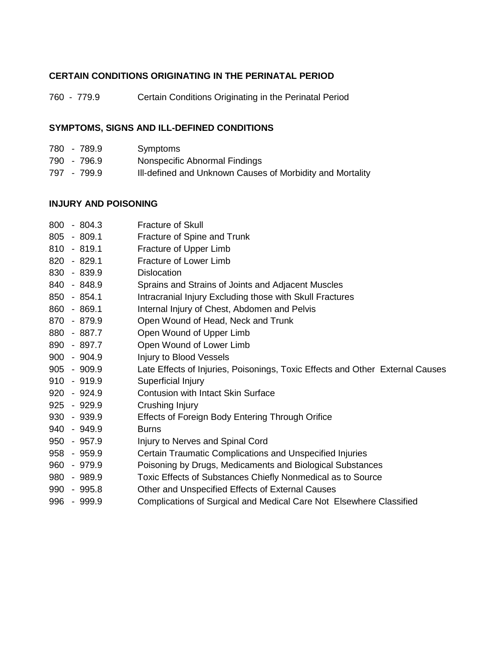# **CERTAIN CONDITIONS ORIGINATING IN THE PERINATAL PERIOD**

760 - 779.9 Certain Conditions Originating in the Perinatal Period

# **SYMPTOMS, SIGNS AND ILL-DEFINED CONDITIONS**

| 780 - 789.9 | Symptoms                                                  |
|-------------|-----------------------------------------------------------|
| 790 - 796.9 | Nonspecific Abnormal Findings                             |
| 797 - 799.9 | III-defined and Unknown Causes of Morbidity and Mortality |

## **INJURY AND POISONING**

| 800 | $-804.3$      | <b>Fracture of Skull</b>                                                      |
|-----|---------------|-------------------------------------------------------------------------------|
| 805 | $-809.1$      | Fracture of Spine and Trunk                                                   |
|     | $810 - 819.1$ | Fracture of Upper Limb                                                        |
| 820 | $-829.1$      | Fracture of Lower Limb                                                        |
| 830 | $-839.9$      | <b>Dislocation</b>                                                            |
| 840 | $-848.9$      | Sprains and Strains of Joints and Adjacent Muscles                            |
|     | $850 - 854.1$ | Intracranial Injury Excluding those with Skull Fractures                      |
| 860 | $-869.1$      | Internal Injury of Chest, Abdomen and Pelvis                                  |
|     | 870 - 879.9   | Open Wound of Head, Neck and Trunk                                            |
|     | 880 - 887.7   | Open Wound of Upper Limb                                                      |
|     | 890 - 897.7   | Open Wound of Lower Limb                                                      |
|     | $900 - 904.9$ | Injury to Blood Vessels                                                       |
|     | $905 - 909.9$ | Late Effects of Injuries, Poisonings, Toxic Effects and Other External Causes |
|     | $910 - 919.9$ | Superficial Injury                                                            |
| 920 | $-924.9$      | <b>Contusion with Intact Skin Surface</b>                                     |
|     | $925 - 929.9$ | Crushing Injury                                                               |
|     | 930 - 939.9   | Effects of Foreign Body Entering Through Orifice                              |
|     | 940 - 949.9   | <b>Burns</b>                                                                  |
| 950 | $-957.9$      | Injury to Nerves and Spinal Cord                                              |
|     | 958 - 959.9   | Certain Traumatic Complications and Unspecified Injuries                      |
| 960 | $-979.9$      | Poisoning by Drugs, Medicaments and Biological Substances                     |
| 980 | - 989.9       | Toxic Effects of Substances Chiefly Nonmedical as to Source                   |
| 990 | - 995.8       | Other and Unspecified Effects of External Causes                              |
| 996 | - 999.9       | Complications of Surgical and Medical Care Not Elsewhere Classified           |
|     |               |                                                                               |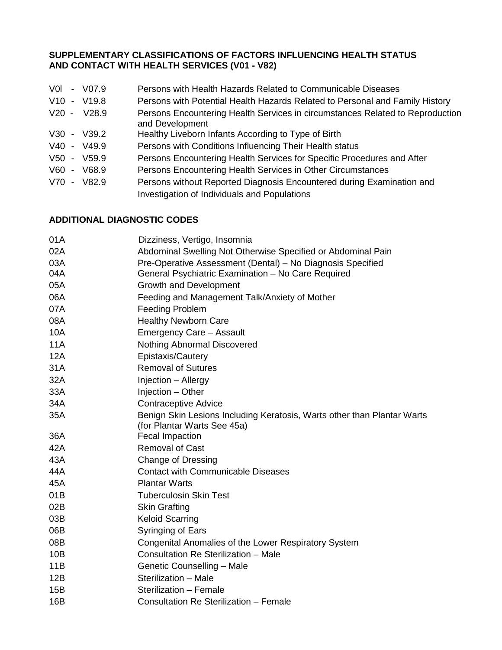## **SUPPLEMENTARY CLASSIFICATIONS OF FACTORS INFLUENCING HEALTH STATUS AND CONTACT WITH HEALTH SERVICES (V01 - V82)**

- V0l V07.9 Persons with Health Hazards Related to Communicable Diseases
- V10 V19.8 Persons with Potential Health Hazards Related to Personal and Family History
- V20 V28.9 Persons Encountering Health Services in circumstances Related to Reproduction and Development
- V30 V39.2 Healthy Liveborn Infants According to Type of Birth
- V40 V49.9 Persons with Conditions Influencing Their Health status
- V50 V59.9 Persons Encountering Health Services for Specific Procedures and After
- V60 V68.9 Persons Encountering Health Services in Other Circumstances
- V70 V82.9 Persons without Reported Diagnosis Encountered during Examination and Investigation of Individuals and Populations

### **ADDITIONAL DIAGNOSTIC CODES**

| 01A | Dizziness, Vertigo, Insomnia                                            |
|-----|-------------------------------------------------------------------------|
| 02A | Abdominal Swelling Not Otherwise Specified or Abdominal Pain            |
| 03A | Pre-Operative Assessment (Dental) - No Diagnosis Specified              |
| 04A | General Psychiatric Examination - No Care Required                      |
| 05A | <b>Growth and Development</b>                                           |
| 06A | Feeding and Management Talk/Anxiety of Mother                           |
| 07A | <b>Feeding Problem</b>                                                  |
| 08A | <b>Healthy Newborn Care</b>                                             |
| 10A | Emergency Care - Assault                                                |
| 11A | Nothing Abnormal Discovered                                             |
| 12A | Epistaxis/Cautery                                                       |
| 31A | <b>Removal of Sutures</b>                                               |
| 32A | Injection - Allergy                                                     |
| 33A | Injection - Other                                                       |
| 34A | <b>Contraceptive Advice</b>                                             |
| 35A | Benign Skin Lesions Including Keratosis, Warts other than Plantar Warts |
|     | (for Plantar Warts See 45a)                                             |
| 36A | <b>Fecal Impaction</b>                                                  |
| 42A | <b>Removal of Cast</b>                                                  |
| 43A | Change of Dressing                                                      |
| 44A | <b>Contact with Communicable Diseases</b>                               |
| 45A | <b>Plantar Warts</b>                                                    |
| 01B | <b>Tuberculosin Skin Test</b>                                           |
| 02B | <b>Skin Grafting</b>                                                    |
| 03B | <b>Keloid Scarring</b>                                                  |
| 06B | Syringing of Ears                                                       |
| 08B | Congenital Anomalies of the Lower Respiratory System                    |
| 10B | Consultation Re Sterilization - Male                                    |
| 11B | Genetic Counselling - Male                                              |
| 12B | Sterilization - Male                                                    |
| 15B | Sterilization - Female                                                  |
| 16B | Consultation Re Sterilization - Female                                  |